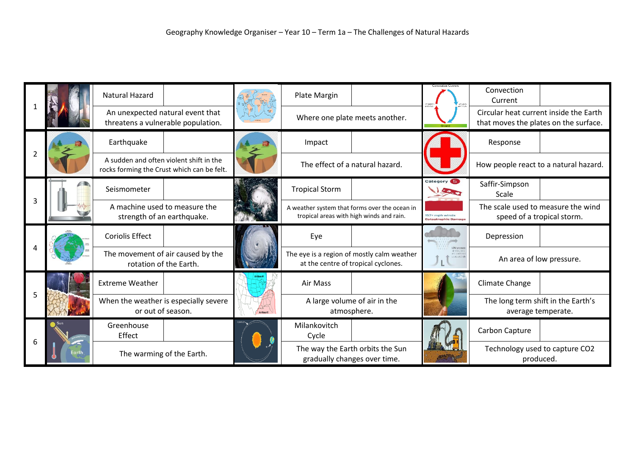|                |  | Natural Hazard                                                                        |             | Plate Margin                                                                              |  |                                             | Convection<br>Current                                                           |  |
|----------------|--|---------------------------------------------------------------------------------------|-------------|-------------------------------------------------------------------------------------------|--|---------------------------------------------|---------------------------------------------------------------------------------|--|
|                |  | An unexpected natural event that<br>threatens a vulnerable population.                |             | Where one plate meets another.                                                            |  |                                             | Circular heat current inside the Earth<br>that moves the plates on the surface. |  |
| $\overline{2}$ |  | Earthquake                                                                            |             | Impact                                                                                    |  |                                             | Response                                                                        |  |
|                |  | A sudden and often violent shift in the<br>rocks forming the Crust which can be felt. |             | The effect of a natural hazard.                                                           |  |                                             | How people react to a natural hazard.                                           |  |
| 3              |  | Seismometer                                                                           |             | <b>Tropical Storm</b>                                                                     |  | Category                                    | Saffir-Simpson<br>Scale                                                         |  |
|                |  | A machine used to measure the<br>strength of an earthquake.                           |             | A weather system that forms over the ocean in<br>tropical areas with high winds and rain. |  | 157+ mph winds<br><b>Catastrophic Damag</b> | The scale used to measure the wind<br>speed of a tropical storm.                |  |
|                |  | <b>Coriolis Effect</b>                                                                |             | Eye                                                                                       |  |                                             | Depression                                                                      |  |
|                |  | The movement of air caused by the<br>rotation of the Earth.                           |             | The eye is a region of mostly calm weather<br>at the centre of tropical cyclones.         |  | inf condar-                                 | An area of low pressure.                                                        |  |
| 5              |  | <b>Extreme Weather</b>                                                                |             | Air Mass                                                                                  |  |                                             | Climate Change                                                                  |  |
|                |  | When the weather is especially severe<br>or out of season.                            | Air Mass #2 | A large volume of air in the<br>atmosphere.                                               |  |                                             | The long term shift in the Earth's<br>average temperate.                        |  |
| 6              |  | Greenhouse<br>Effect                                                                  |             | Milankovitch<br>Cycle                                                                     |  |                                             | Carbon Capture                                                                  |  |
|                |  | The warming of the Earth.                                                             |             | The way the Earth orbits the Sun<br>gradually changes over time.                          |  |                                             | Technology used to capture CO2<br>produced.                                     |  |